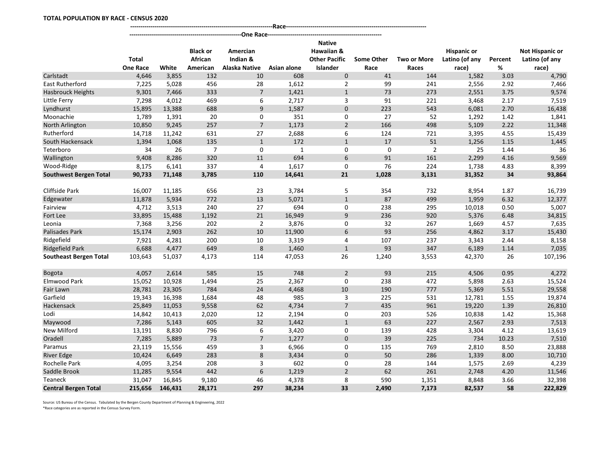|                               | <b>Total</b><br><b>One Race</b> | White   | <b>Black or</b><br>African<br>American | Amercian<br>Indian &<br>Alaska Native | Asian alone | <b>Native</b><br>Hawaiian &<br><b>Other Pacific</b><br><b>Islander</b> | <b>Some Other</b><br>Race | <b>Two or More</b><br>Races | <b>Hispanic or</b><br>Latino (of any<br>race) | Percent<br>% | <b>Not Hispanic or</b><br>Latino (of any<br>race) |
|-------------------------------|---------------------------------|---------|----------------------------------------|---------------------------------------|-------------|------------------------------------------------------------------------|---------------------------|-----------------------------|-----------------------------------------------|--------------|---------------------------------------------------|
| Carlstadt                     | 4,646                           | 3.855   | 132                                    | 10                                    | 608         | $\mathbf{0}$                                                           | 41                        | 144                         | 1,582                                         | 3.03         | 4,790                                             |
| East Rutherford               | 7,225                           | 5,028   | 456                                    | 28                                    | 1,612       | 2                                                                      | 99                        | 241                         | 2,556                                         | 2.92         | 7,466                                             |
| <b>Hasbrouck Heights</b>      | 9,301                           | 7,466   | 333                                    | $\overline{7}$                        | 1,421       | $\mathbf{1}$                                                           | 73                        | 273                         | 2,551                                         | 3.75         | 9,574                                             |
| Little Ferry                  | 7,298                           | 4,012   | 469                                    | 6                                     | 2,717       | 3                                                                      | 91                        | 221                         | 3,468                                         | 2.17         | 7,519                                             |
| Lyndhurst                     | 15,895                          | 13,388  | 688                                    | 9                                     | 1,587       | 0                                                                      | 223                       | 543                         | 6,081                                         | 2.70         | 16,438                                            |
| Moonachie                     | 1,789                           | 1,391   | 20                                     | 0                                     | 351         | 0                                                                      | 27                        | 52                          | 1,292                                         | 1.42         | 1,841                                             |
| North Arlington               | 10,850                          | 9,245   | 257                                    | $\overline{7}$                        | 1,173       | $\overline{2}$                                                         | 166                       | 498                         | 5,109                                         | 2.22         | 11,348                                            |
| Rutherford                    | 14,718                          | 11,242  | 631                                    | 27                                    | 2,688       | 6                                                                      | 124                       | 721                         | 3,395                                         | 4.55         | 15,439                                            |
| South Hackensack              | 1,394                           | 1,068   | 135                                    | $\mathbf{1}$                          | 172         | $\mathbf{1}$                                                           | 17                        | 51                          | 1,256                                         | 1.15         | 1,445                                             |
| Teterboro                     | 34                              | 26      | $\overline{7}$                         | $\mathbf 0$                           | 1           | 0                                                                      | $\mathbf 0$               | $\overline{2}$              | 25                                            | 1.44         | 36                                                |
| Wallington                    | 9,408                           | 8,286   | 320                                    | $11\,$                                | 694         | 6                                                                      | 91                        | 161                         | 2,299                                         | 4.16         | 9,569                                             |
| Wood-Ridge                    | 8,175                           | 6,141   | 337                                    | $\overline{4}$                        | 1,617       | $\mathbf 0$                                                            | 76                        | 224                         | 1,738                                         | 4.83         | 8,399                                             |
| <b>Southwest Bergen Total</b> | 90,733                          | 71,148  | 3,785                                  | 110                                   | 14,641      | 21                                                                     | 1,028                     | 3,131                       | 31,352                                        | 34           | 93,864                                            |
|                               |                                 |         |                                        |                                       |             |                                                                        |                           |                             |                                               |              |                                                   |
| Cliffside Park                | 16,007                          | 11,185  | 656                                    | 23                                    | 3,784       | 5                                                                      | 354                       | 732                         | 8,954                                         | 1.87         | 16,739                                            |
| Edgewater                     | 11,878                          | 5,934   | 772                                    | 13                                    | 5,071       | $\mathbf{1}$                                                           | 87                        | 499                         | 1,959                                         | 6.32         | 12,377                                            |
| Fairview                      | 4,712                           | 3,513   | 240                                    | 27                                    | 694         | 0                                                                      | 238                       | 295                         | 10,018                                        | 0.50         | 5,007                                             |
| Fort Lee                      | 33,895                          | 15,488  | 1,192                                  | 21                                    | 16,949      | 9                                                                      | 236                       | 920                         | 5,376                                         | 6.48         | 34,815                                            |
| Leonia                        | 7,368                           | 3,256   | 202                                    | $\overline{2}$                        | 3,876       | 0                                                                      | 32                        | 267                         | 1,669                                         | 4.57         | 7,635                                             |
| Palisades Park                | 15,174                          | 2,903   | 262                                    | 10                                    | 11,900      | 6                                                                      | 93                        | 256                         | 4,862                                         | 3.17         | 15,430                                            |
| Ridgefield                    | 7,921                           | 4,281   | 200                                    | 10                                    | 3,319       | 4                                                                      | 107                       | 237                         | 3,343                                         | 2.44         | 8,158                                             |
| Ridgefield Park               | 6,688                           | 4,477   | 649                                    | 8                                     | 1,460       | $\mathbf{1}$                                                           | 93                        | 347                         | 6,189                                         | 1.14         | 7,035                                             |
| <b>Southeast Bergen Total</b> | 103,643                         | 51,037  | 4,173                                  | 114                                   | 47,053      | 26                                                                     | 1,240                     | 3,553                       | 42,370                                        | 26           | 107,196                                           |
| <b>Bogota</b>                 | 4,057                           | 2,614   | 585                                    | 15                                    | 748         | $\overline{2}$                                                         | 93                        | 215                         | 4,506                                         | 0.95         | 4,272                                             |
| Elmwood Park                  | 15,052                          | 10,928  | 1,494                                  | 25                                    | 2,367       | $\mathbf 0$                                                            | 238                       | 472                         | 5,898                                         | 2.63         | 15,524                                            |
| Fair Lawn                     | 28,781                          | 23,305  | 784                                    | 24                                    | 4,468       | 10                                                                     | 190                       | 777                         | 5,369                                         | 5.51         | 29,558                                            |
| Garfield                      | 19,343                          | 16,398  | 1,684                                  | 48                                    | 985         | 3                                                                      | 225                       | 531                         | 12,781                                        | 1.55         | 19,874                                            |
| Hackensack                    | 25,849                          | 11,053  | 9,558                                  | 62                                    | 4,734       | $\overline{7}$                                                         | 435                       | 961                         | 19,220                                        | 1.39         | 26,810                                            |
| Lodi                          | 14,842                          | 10,413  | 2,020                                  | 12                                    | 2,194       | 0                                                                      | 203                       | 526                         | 10,838                                        | 1.42         | 15,368                                            |
| Maywood                       | 7,286                           | 5,143   | 605                                    | 32                                    | 1,442       | $\mathbf{1}$                                                           | 63                        | 227                         | 2,567                                         | 2.93         | 7,513                                             |
| New Milford                   | 13,191                          | 8,830   | 796                                    | 6                                     | 3,420       | 0                                                                      | 139                       | 428                         | 3,304                                         | 4.12         | 13,619                                            |
| Oradell                       | 7,285                           | 5,889   | 73                                     | $\overline{7}$                        | 1,277       | $\mathbf{0}$                                                           | 39                        | 225                         | 734                                           | 10.23        | 7,510                                             |
| Paramus                       | 23,119                          | 15,556  | 459                                    | 3                                     | 6,966       | 0                                                                      | 135                       | 769                         | 2,810                                         | 8.50         | 23,888                                            |
| River Edge                    | 10,424                          | 6,649   | 283                                    | 8                                     | 3,434       | $\overline{0}$                                                         | 50                        | 286                         | 1,339                                         | 8.00         | 10,710                                            |
| Rochelle Park                 | 4,095                           | 3,254   | 208                                    | 3                                     | 602         | $\mathbf 0$                                                            | 28                        | 144                         | 1,575                                         | 2.69         | 4,239                                             |
| Saddle Brook                  | 11,285                          | 9,554   | 442                                    | 6                                     | 1,219       | $\overline{2}$                                                         | 62                        | 261                         | 2,748                                         | 4.20         | 11,546                                            |
| Teaneck                       | 31,047                          | 16,845  | 9,180                                  | 46                                    | 4,378       | 8                                                                      | 590                       | 1,351                       | 8,848                                         | 3.66         | 32,398                                            |
| <b>Central Bergen Total</b>   | 215,656                         | 146,431 | 28,171                                 | 297                                   | 38,234      | 33                                                                     | 2,490                     | 7,173                       | 82,537                                        | 58           | 222,829                                           |

**----------------------------------------------------------------------Race---------------------------------------------------------------------**

Source: US Bureau of the Census. Tabulated by the Bergen County Department of Planning & Engineering, 2022

\*Race categories are as reported in the Census Survey Form.